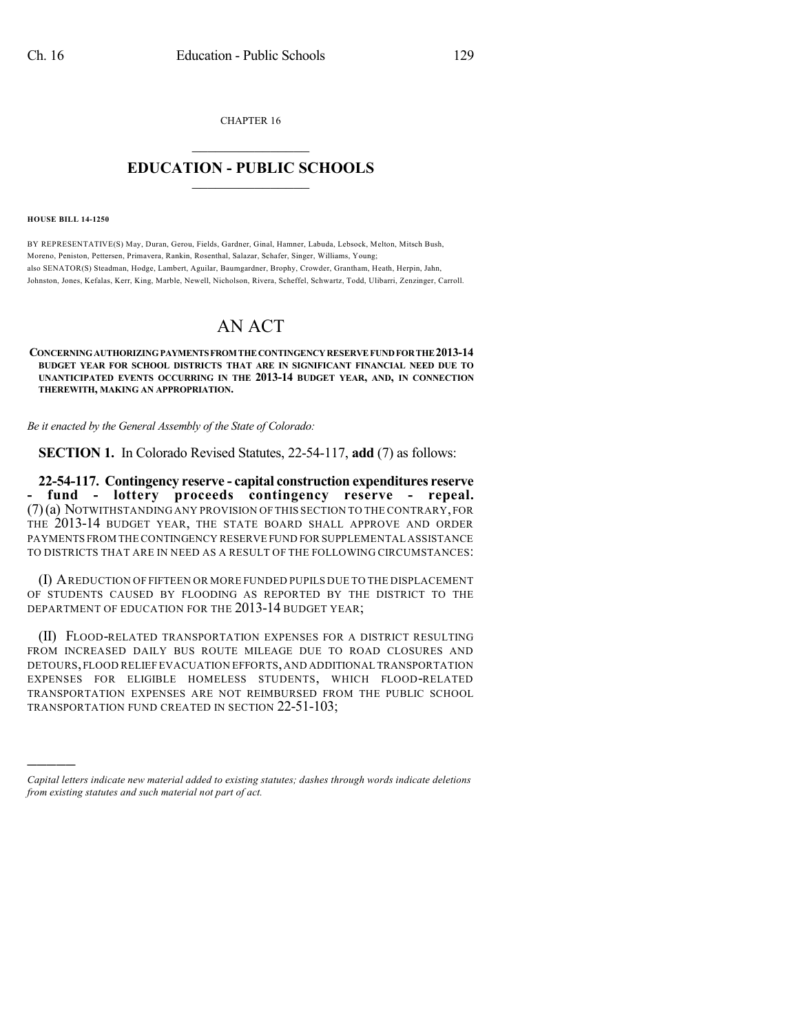CHAPTER 16  $\mathcal{L}_\text{max}$  . The set of the set of the set of the set of the set of the set of the set of the set of the set of the set of the set of the set of the set of the set of the set of the set of the set of the set of the set

## **EDUCATION - PUBLIC SCHOOLS**  $\_$   $\_$   $\_$   $\_$   $\_$   $\_$   $\_$   $\_$   $\_$

**HOUSE BILL 14-1250**

)))))

BY REPRESENTATIVE(S) May, Duran, Gerou, Fields, Gardner, Ginal, Hamner, Labuda, Lebsock, Melton, Mitsch Bush, Moreno, Peniston, Pettersen, Primavera, Rankin, Rosenthal, Salazar, Schafer, Singer, Williams, Young; also SENATOR(S) Steadman, Hodge, Lambert, Aguilar, Baumgardner, Brophy, Crowder, Grantham, Heath, Herpin, Jahn, Johnston, Jones, Kefalas, Kerr, King, Marble, Newell, Nicholson, Rivera, Scheffel, Schwartz, Todd, Ulibarri, Zenzinger, Carroll.

## AN ACT

**CONCERNINGAUTHORIZINGPAYMENTSFROMTHECONTINGENCYRESERVEFUNDFORTHE2013-14 BUDGET YEAR FOR SCHOOL DISTRICTS THAT ARE IN SIGNIFICANT FINANCIAL NEED DUE TO UNANTICIPATED EVENTS OCCURRING IN THE 2013-14 BUDGET YEAR, AND, IN CONNECTION THEREWITH, MAKING AN APPROPRIATION.**

*Be it enacted by the General Assembly of the State of Colorado:*

**SECTION 1.** In Colorado Revised Statutes, 22-54-117, **add** (7) as follows:

**22-54-117. Contingency reserve - capital construction expenditures reserve - fund - lottery proceeds contingency reserve - repeal.** (7)(a) NOTWITHSTANDING ANY PROVISION OF THIS SECTION TO THE CONTRARY,FOR THE 2013-14 BUDGET YEAR, THE STATE BOARD SHALL APPROVE AND ORDER PAYMENTS FROM THE CONTINGENCY RESERVE FUND FOR SUPPLEMENTAL ASSISTANCE TO DISTRICTS THAT ARE IN NEED AS A RESULT OF THE FOLLOWING CIRCUMSTANCES:

(I) AREDUCTION OF FIFTEEN OR MORE FUNDED PUPILS DUE TO THE DISPLACEMENT OF STUDENTS CAUSED BY FLOODING AS REPORTED BY THE DISTRICT TO THE DEPARTMENT OF EDUCATION FOR THE 2013-14 BUDGET YEAR;

(II) FLOOD-RELATED TRANSPORTATION EXPENSES FOR A DISTRICT RESULTING FROM INCREASED DAILY BUS ROUTE MILEAGE DUE TO ROAD CLOSURES AND DETOURS,FLOOD RELIEF EVACUATION EFFORTS,AND ADDITIONAL TRANSPORTATION EXPENSES FOR ELIGIBLE HOMELESS STUDENTS, WHICH FLOOD-RELATED TRANSPORTATION EXPENSES ARE NOT REIMBURSED FROM THE PUBLIC SCHOOL TRANSPORTATION FUND CREATED IN SECTION 22-51-103;

*Capital letters indicate new material added to existing statutes; dashes through words indicate deletions from existing statutes and such material not part of act.*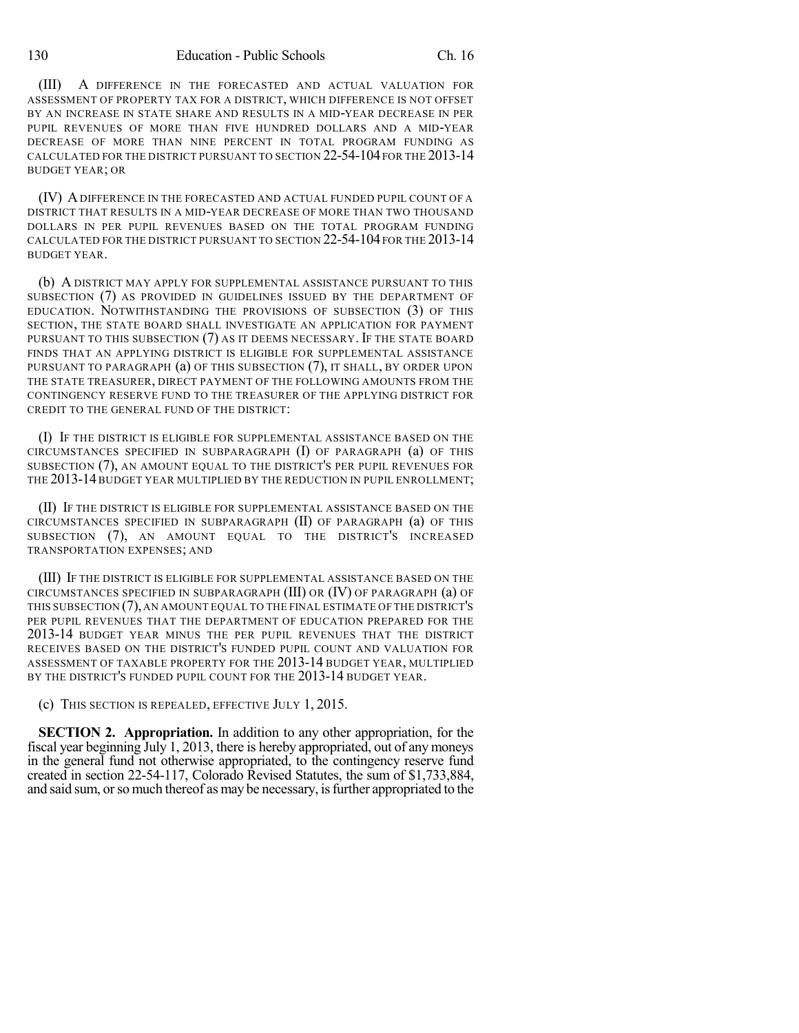(III) A DIFFERENCE IN THE FORECASTED AND ACTUAL VALUATION FOR ASSESSMENT OF PROPERTY TAX FOR A DISTRICT, WHICH DIFFERENCE IS NOT OFFSET BY AN INCREASE IN STATE SHARE AND RESULTS IN A MID-YEAR DECREASE IN PER PUPIL REVENUES OF MORE THAN FIVE HUNDRED DOLLARS AND A MID-YEAR DECREASE OF MORE THAN NINE PERCENT IN TOTAL PROGRAM FUNDING AS CALCULATED FOR THE DISTRICT PURSUANT TO SECTION 22-54-104 FOR THE 2013-14 BUDGET YEAR; OR

(IV) ADIFFERENCE IN THE FORECASTED AND ACTUAL FUNDED PUPIL COUNT OF A DISTRICT THAT RESULTS IN A MID-YEAR DECREASE OF MORE THAN TWO THOUSAND DOLLARS IN PER PUPIL REVENUES BASED ON THE TOTAL PROGRAM FUNDING CALCULATED FOR THE DISTRICT PURSUANT TO SECTION 22-54-104 FOR THE 2013-14 BUDGET YEAR.

(b) A DISTRICT MAY APPLY FOR SUPPLEMENTAL ASSISTANCE PURSUANT TO THIS SUBSECTION (7) AS PROVIDED IN GUIDELINES ISSUED BY THE DEPARTMENT OF EDUCATION. NOTWITHSTANDING THE PROVISIONS OF SUBSECTION (3) OF THIS SECTION, THE STATE BOARD SHALL INVESTIGATE AN APPLICATION FOR PAYMENT PURSUANT TO THIS SUBSECTION (7) AS IT DEEMS NECESSARY. IF THE STATE BOARD FINDS THAT AN APPLYING DISTRICT IS ELIGIBLE FOR SUPPLEMENTAL ASSISTANCE PURSUANT TO PARAGRAPH (a) OF THIS SUBSECTION (7), IT SHALL, BY ORDER UPON THE STATE TREASURER, DIRECT PAYMENT OF THE FOLLOWING AMOUNTS FROM THE CONTINGENCY RESERVE FUND TO THE TREASURER OF THE APPLYING DISTRICT FOR CREDIT TO THE GENERAL FUND OF THE DISTRICT:

(I) IF THE DISTRICT IS ELIGIBLE FOR SUPPLEMENTAL ASSISTANCE BASED ON THE CIRCUMSTANCES SPECIFIED IN SUBPARAGRAPH (I) OF PARAGRAPH (a) OF THIS SUBSECTION (7), AN AMOUNT EQUAL TO THE DISTRICT'S PER PUPIL REVENUES FOR THE 2013-14 BUDGET YEAR MULTIPLIED BY THE REDUCTION IN PUPIL ENROLLMENT;

(II) IF THE DISTRICT IS ELIGIBLE FOR SUPPLEMENTAL ASSISTANCE BASED ON THE CIRCUMSTANCES SPECIFIED IN SUBPARAGRAPH (II) OF PARAGRAPH (a) OF THIS SUBSECTION (7), AN AMOUNT EQUAL TO THE DISTRICT'S INCREASED TRANSPORTATION EXPENSES; AND

(III) IF THE DISTRICT IS ELIGIBLE FOR SUPPLEMENTAL ASSISTANCE BASED ON THE CIRCUMSTANCES SPECIFIED IN SUBPARAGRAPH (III) OR (IV) OF PARAGRAPH (a) OF THIS SUBSECTION (7), AN AMOUNT EQUAL TO THE FINAL ESTIMATE OF THE DISTRICT'S PER PUPIL REVENUES THAT THE DEPARTMENT OF EDUCATION PREPARED FOR THE 2013-14 BUDGET YEAR MINUS THE PER PUPIL REVENUES THAT THE DISTRICT RECEIVES BASED ON THE DISTRICT'S FUNDED PUPIL COUNT AND VALUATION FOR ASSESSMENT OF TAXABLE PROPERTY FOR THE 2013-14 BUDGET YEAR, MULTIPLIED BY THE DISTRICT'S FUNDED PUPIL COUNT FOR THE 2013-14 BUDGET YEAR.

(c) THIS SECTION IS REPEALED, EFFECTIVE JULY 1, 2015.

**SECTION 2. Appropriation.** In addition to any other appropriation, for the fiscal year beginning July 1, 2013, there is hereby appropriated, out of any moneys in the general fund not otherwise appropriated, to the contingency reserve fund created in section 22-54-117, Colorado Revised Statutes, the sum of \$1,733,884, and said sum, or so much thereof as may be necessary, is further appropriated to the